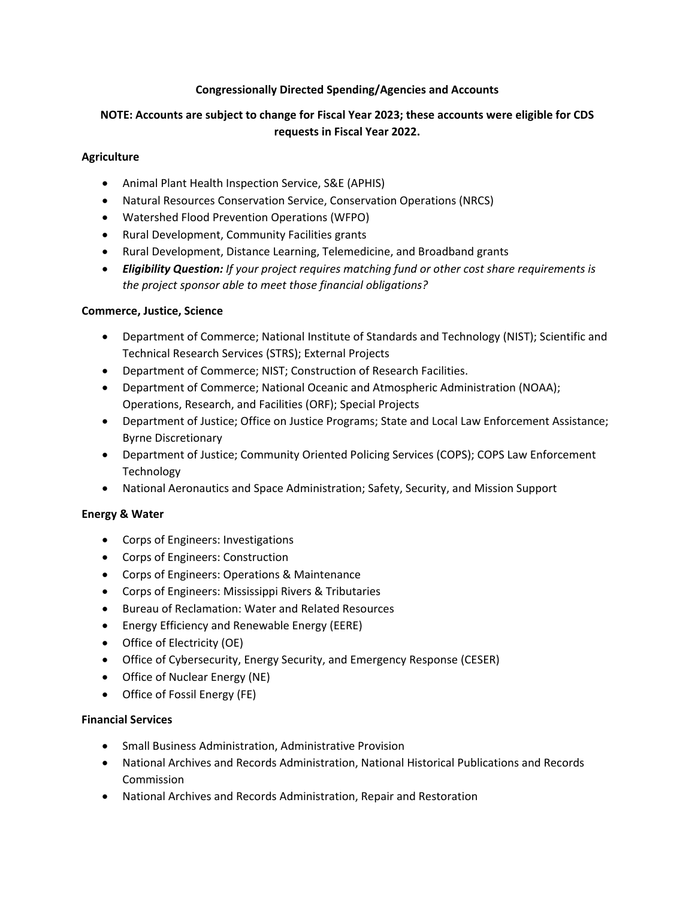## **Congressionally Directed Spending/Agencies and Accounts**

# **NOTE: Accounts are subject to change for Fiscal Year 2023; these accounts were eligible for CDS requests in Fiscal Year 2022.**

#### **Agriculture**

- Animal Plant Health Inspection Service, S&E (APHIS)
- Natural Resources Conservation Service, Conservation Operations (NRCS)
- Watershed Flood Prevention Operations (WFPO)
- Rural Development, Community Facilities grants
- Rural Development, Distance Learning, Telemedicine, and Broadband grants
- *Eligibility Question: If your project requires matching fund or other cost share requirements is the project sponsor able to meet those financial obligations?*

#### **Commerce, Justice, Science**

- Department of Commerce; National Institute of Standards and Technology (NIST); Scientific and Technical Research Services (STRS); External Projects
- Department of Commerce; NIST; Construction of Research Facilities.
- Department of Commerce; National Oceanic and Atmospheric Administration (NOAA); Operations, Research, and Facilities (ORF); Special Projects
- Department of Justice; Office on Justice Programs; State and Local Law Enforcement Assistance; Byrne Discretionary
- Department of Justice; Community Oriented Policing Services (COPS); COPS Law Enforcement Technology
- National Aeronautics and Space Administration; Safety, Security, and Mission Support

## **Energy & Water**

- Corps of Engineers: Investigations
- Corps of Engineers: Construction
- Corps of Engineers: Operations & Maintenance
- Corps of Engineers: Mississippi Rivers & Tributaries
- Bureau of Reclamation: Water and Related Resources
- Energy Efficiency and Renewable Energy (EERE)
- Office of Electricity (OE)
- Office of Cybersecurity, Energy Security, and Emergency Response (CESER)
- Office of Nuclear Energy (NE)
- Office of Fossil Energy (FE)

## **Financial Services**

- Small Business Administration, Administrative Provision
- National Archives and Records Administration, National Historical Publications and Records Commission
- National Archives and Records Administration, Repair and Restoration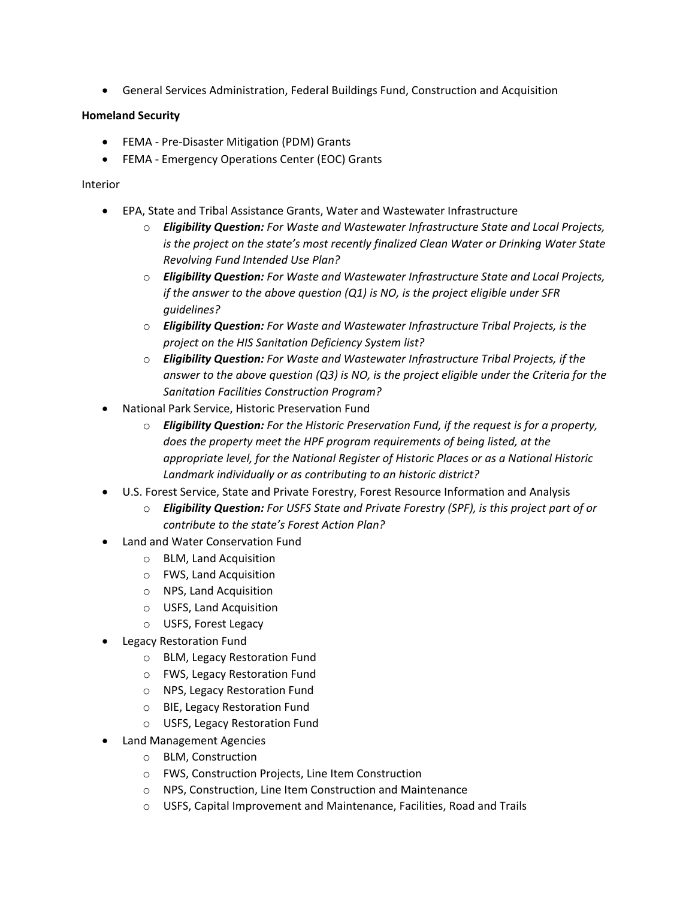• General Services Administration, Federal Buildings Fund, Construction and Acquisition

## **Homeland Security**

- FEMA Pre-Disaster Mitigation (PDM) Grants
- FEMA Emergency Operations Center (EOC) Grants

## Interior

- EPA, State and Tribal Assistance Grants, Water and Wastewater Infrastructure
	- o *Eligibility Question: For Waste and Wastewater Infrastructure State and Local Projects, is the project on the state's most recently finalized Clean Water or Drinking Water State Revolving Fund Intended Use Plan?*
	- o *Eligibility Question: For Waste and Wastewater Infrastructure State and Local Projects, if the answer to the above question (Q1) is NO, is the project eligible under SFR guidelines?*
	- o *Eligibility Question: For Waste and Wastewater Infrastructure Tribal Projects, is the project on the HIS Sanitation Deficiency System list?*
	- o *Eligibility Question: For Waste and Wastewater Infrastructure Tribal Projects, if the answer to the above question (Q3) is NO, is the project eligible under the Criteria for the Sanitation Facilities Construction Program?*
- National Park Service, Historic Preservation Fund
	- o *Eligibility Question: For the Historic Preservation Fund, if the request is for a property, does the property meet the HPF program requirements of being listed, at the appropriate level, for the National Register of Historic Places or as a National Historic Landmark individually or as contributing to an historic district?*
- U.S. Forest Service, State and Private Forestry, Forest Resource Information and Analysis
	- o *Eligibility Question: For USFS State and Private Forestry (SPF), is this project part of or contribute to the state's Forest Action Plan?*
- Land and Water Conservation Fund
	- o BLM, Land Acquisition
	- o FWS, Land Acquisition
	- o NPS, Land Acquisition
	- o USFS, Land Acquisition
	- o USFS, Forest Legacy
- Legacy Restoration Fund
	- o BLM, Legacy Restoration Fund
	- o FWS, Legacy Restoration Fund
	- o NPS, Legacy Restoration Fund
	- o BIE, Legacy Restoration Fund
	- o USFS, Legacy Restoration Fund
- Land Management Agencies
	- o BLM, Construction
	- o FWS, Construction Projects, Line Item Construction
	- o NPS, Construction, Line Item Construction and Maintenance
	- o USFS, Capital Improvement and Maintenance, Facilities, Road and Trails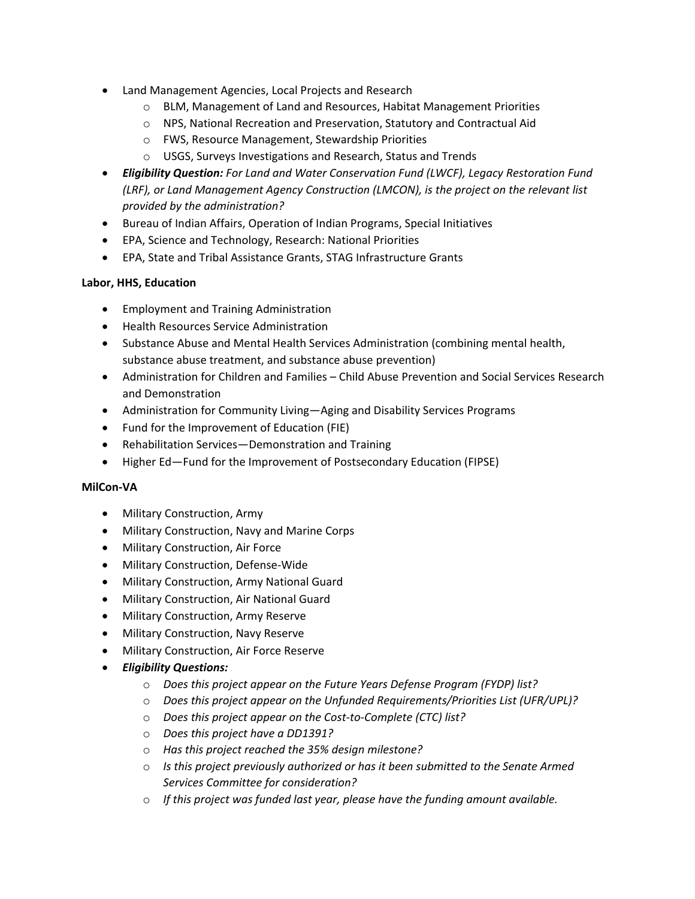- Land Management Agencies, Local Projects and Research
	- o BLM, Management of Land and Resources, Habitat Management Priorities
	- o NPS, National Recreation and Preservation, Statutory and Contractual Aid
	- o FWS, Resource Management, Stewardship Priorities
	- o USGS, Surveys Investigations and Research, Status and Trends
- *Eligibility Question: For Land and Water Conservation Fund (LWCF), Legacy Restoration Fund (LRF), or Land Management Agency Construction (LMCON), is the project on the relevant list provided by the administration?*
- Bureau of Indian Affairs, Operation of Indian Programs, Special Initiatives
- EPA, Science and Technology, Research: National Priorities
- EPA, State and Tribal Assistance Grants, STAG Infrastructure Grants

#### **Labor, HHS, Education**

- Employment and Training Administration
- Health Resources Service Administration
- Substance Abuse and Mental Health Services Administration (combining mental health, substance abuse treatment, and substance abuse prevention)
- Administration for Children and Families Child Abuse Prevention and Social Services Research and Demonstration
- Administration for Community Living—Aging and Disability Services Programs
- Fund for the Improvement of Education (FIE)
- Rehabilitation Services—Demonstration and Training
- Higher Ed—Fund for the Improvement of Postsecondary Education (FIPSE)

#### **MilCon-VA**

- Military Construction, Army
- Military Construction, Navy and Marine Corps
- Military Construction, Air Force
- Military Construction, Defense-Wide
- Military Construction, Army National Guard
- Military Construction, Air National Guard
- Military Construction, Army Reserve
- Military Construction, Navy Reserve
- Military Construction, Air Force Reserve
- *Eligibility Questions:*
	- o *Does this project appear on the Future Years Defense Program (FYDP) list?*
	- o *Does this project appear on the Unfunded Requirements/Priorities List (UFR/UPL)?*
	- o *Does this project appear on the Cost-to-Complete (CTC) list?*
	- o *Does this project have a DD1391?*
	- o *Has this project reached the 35% design milestone?*
	- o *Is this project previously authorized or has it been submitted to the Senate Armed Services Committee for consideration?*
	- o *If this project was funded last year, please have the funding amount available.*